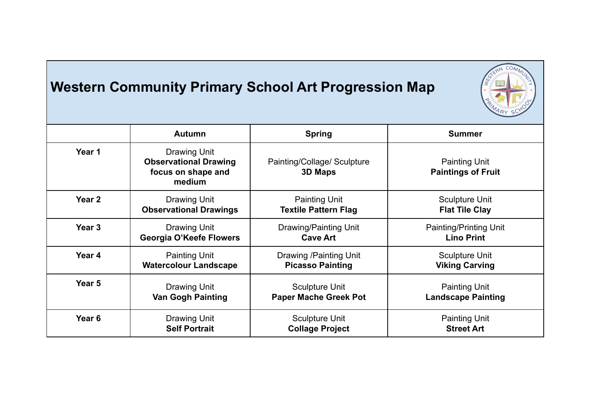## **Western Community Primary School Art Progression Map**



|                   | <b>Autumn</b>                                                                | <b>Spring</b>                          | <b>Summer</b>                                     |
|-------------------|------------------------------------------------------------------------------|----------------------------------------|---------------------------------------------------|
|                   |                                                                              |                                        |                                                   |
| Year 1            | Drawing Unit<br><b>Observational Drawing</b><br>focus on shape and<br>medium | Painting/Collage/ Sculpture<br>3D Maps | <b>Painting Unit</b><br><b>Paintings of Fruit</b> |
| Year <sub>2</sub> | <b>Drawing Unit</b>                                                          | <b>Painting Unit</b>                   | <b>Sculpture Unit</b>                             |
|                   | <b>Observational Drawings</b>                                                | <b>Textile Pattern Flag</b>            | <b>Flat Tile Clay</b>                             |
| Year <sub>3</sub> | <b>Drawing Unit</b>                                                          | Drawing/Painting Unit                  | <b>Painting/Printing Unit</b>                     |
|                   | <b>Georgia O'Keefe Flowers</b>                                               | <b>Cave Art</b>                        | <b>Lino Print</b>                                 |
| Year <sub>4</sub> | <b>Painting Unit</b>                                                         | Drawing / Painting Unit                | <b>Sculpture Unit</b>                             |
|                   | <b>Watercolour Landscape</b>                                                 | <b>Picasso Painting</b>                | <b>Viking Carving</b>                             |
| Year <sub>5</sub> | <b>Drawing Unit</b>                                                          | <b>Sculpture Unit</b>                  | <b>Painting Unit</b>                              |
|                   | <b>Van Gogh Painting</b>                                                     | <b>Paper Mache Greek Pot</b>           | <b>Landscape Painting</b>                         |
| Year <sub>6</sub> | <b>Drawing Unit</b>                                                          | <b>Sculpture Unit</b>                  | <b>Painting Unit</b>                              |
|                   | <b>Self Portrait</b>                                                         | <b>Collage Project</b>                 | <b>Street Art</b>                                 |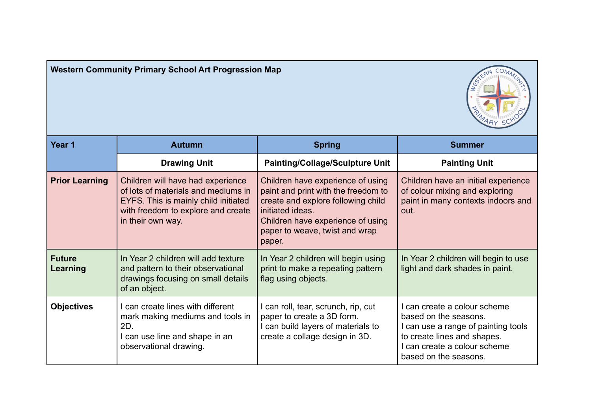| Year 1                    | <b>Autumn</b>                                                                                                                                                               | <b>Spring</b>                                                                                                                                                                                                       | <b>Summer</b>                                                                                                                                                                      |
|---------------------------|-----------------------------------------------------------------------------------------------------------------------------------------------------------------------------|---------------------------------------------------------------------------------------------------------------------------------------------------------------------------------------------------------------------|------------------------------------------------------------------------------------------------------------------------------------------------------------------------------------|
|                           | <b>Drawing Unit</b>                                                                                                                                                         | <b>Painting/Collage/Sculpture Unit</b>                                                                                                                                                                              | <b>Painting Unit</b>                                                                                                                                                               |
| <b>Prior Learning</b>     | Children will have had experience<br>of lots of materials and mediums in<br>EYFS. This is mainly child initiated<br>with freedom to explore and create<br>in their own way. | Children have experience of using<br>paint and print with the freedom to<br>create and explore following child<br>initiated ideas.<br>Children have experience of using<br>paper to weave, twist and wrap<br>paper. | Children have an initial experience<br>of colour mixing and exploring<br>paint in many contexts indoors and<br>out.                                                                |
| <b>Future</b><br>Learning | In Year 2 children will add texture<br>and pattern to their observational<br>drawings focusing on small details<br>of an object.                                            | In Year 2 children will begin using<br>print to make a repeating pattern<br>flag using objects.                                                                                                                     | In Year 2 children will begin to use<br>light and dark shades in paint.                                                                                                            |
| <b>Objectives</b>         | can create lines with different<br>mark making mediums and tools in<br>2D.<br>I can use line and shape in an<br>observational drawing.                                      | I can roll, tear, scrunch, rip, cut<br>paper to create a 3D form.<br>I can build layers of materials to<br>create a collage design in 3D.                                                                           | can create a colour scheme<br>based on the seasons.<br>I can use a range of painting tools<br>to create lines and shapes.<br>I can create a colour scheme<br>based on the seasons. |

## **Western Community Primary School Art Progression Map**

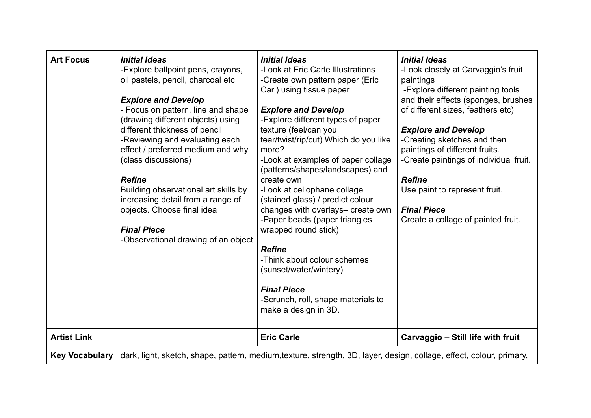| <b>Art Focus</b>      | <b>Initial Ideas</b><br>-Explore ballpoint pens, crayons,<br>oil pastels, pencil, charcoal etc<br><b>Explore and Develop</b><br>- Focus on pattern, line and shape<br>(drawing different objects) using<br>different thickness of pencil<br>-Reviewing and evaluating each<br>effect / preferred medium and why<br>(class discussions)<br><b>Refine</b><br>Building observational art skills by<br>increasing detail from a range of<br>objects. Choose final idea<br><b>Final Piece</b><br>-Observational drawing of an object | <b>Initial Ideas</b><br>-Look at Eric Carle Illustrations<br>-Create own pattern paper (Eric<br>Carl) using tissue paper<br><b>Explore and Develop</b><br>-Explore different types of paper<br>texture (feel/can you<br>tear/twist/rip/cut) Which do you like<br>more?<br>-Look at examples of paper collage<br>(patterns/shapes/landscapes) and<br>create own<br>-Look at cellophane collage<br>(stained glass) / predict colour<br>changes with overlays- create own<br>-Paper beads (paper triangles<br>wrapped round stick)<br><b>Refine</b><br>-Think about colour schemes<br>(sunset/water/wintery)<br><b>Final Piece</b><br>-Scrunch, roll, shape materials to<br>make a design in 3D. | <b>Initial Ideas</b><br>-Look closely at Carvaggio's fruit<br>paintings<br>-Explore different painting tools<br>and their effects (sponges, brushes<br>of different sizes, feathers etc)<br><b>Explore and Develop</b><br>-Creating sketches and then<br>paintings of different fruits.<br>-Create paintings of individual fruit.<br><b>Refine</b><br>Use paint to represent fruit.<br><b>Final Piece</b><br>Create a collage of painted fruit. |
|-----------------------|---------------------------------------------------------------------------------------------------------------------------------------------------------------------------------------------------------------------------------------------------------------------------------------------------------------------------------------------------------------------------------------------------------------------------------------------------------------------------------------------------------------------------------|-----------------------------------------------------------------------------------------------------------------------------------------------------------------------------------------------------------------------------------------------------------------------------------------------------------------------------------------------------------------------------------------------------------------------------------------------------------------------------------------------------------------------------------------------------------------------------------------------------------------------------------------------------------------------------------------------|-------------------------------------------------------------------------------------------------------------------------------------------------------------------------------------------------------------------------------------------------------------------------------------------------------------------------------------------------------------------------------------------------------------------------------------------------|
| <b>Artist Link</b>    |                                                                                                                                                                                                                                                                                                                                                                                                                                                                                                                                 | <b>Eric Carle</b>                                                                                                                                                                                                                                                                                                                                                                                                                                                                                                                                                                                                                                                                             | Carvaggio - Still life with fruit                                                                                                                                                                                                                                                                                                                                                                                                               |
| <b>Key Vocabulary</b> |                                                                                                                                                                                                                                                                                                                                                                                                                                                                                                                                 | dark, light, sketch, shape, pattern, medium, texture, strength, 3D, layer, design, collage, effect, colour, primary,                                                                                                                                                                                                                                                                                                                                                                                                                                                                                                                                                                          |                                                                                                                                                                                                                                                                                                                                                                                                                                                 |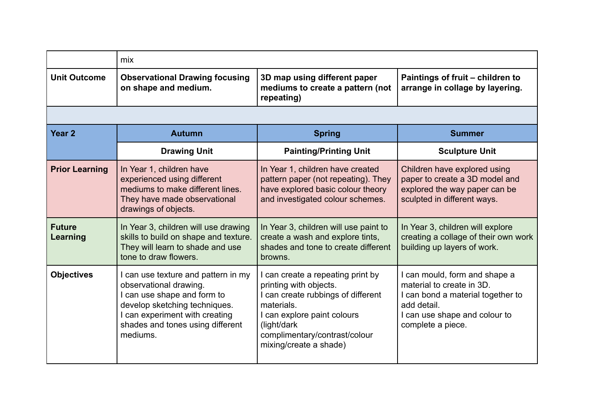|                           | mix                                                                                                                                                                                                             |                                                                                                                                                                                                                        |                                                                                                                                                                      |
|---------------------------|-----------------------------------------------------------------------------------------------------------------------------------------------------------------------------------------------------------------|------------------------------------------------------------------------------------------------------------------------------------------------------------------------------------------------------------------------|----------------------------------------------------------------------------------------------------------------------------------------------------------------------|
| <b>Unit Outcome</b>       | <b>Observational Drawing focusing</b><br>on shape and medium.                                                                                                                                                   | 3D map using different paper<br>mediums to create a pattern (not<br>repeating)                                                                                                                                         | Paintings of fruit - children to<br>arrange in collage by layering.                                                                                                  |
|                           |                                                                                                                                                                                                                 |                                                                                                                                                                                                                        |                                                                                                                                                                      |
| Year <sub>2</sub>         | <b>Autumn</b>                                                                                                                                                                                                   | <b>Spring</b>                                                                                                                                                                                                          | <b>Summer</b>                                                                                                                                                        |
|                           | <b>Drawing Unit</b>                                                                                                                                                                                             | <b>Painting/Printing Unit</b>                                                                                                                                                                                          | <b>Sculpture Unit</b>                                                                                                                                                |
| <b>Prior Learning</b>     | In Year 1, children have<br>experienced using different<br>mediums to make different lines.<br>They have made observational<br>drawings of objects.                                                             | In Year 1, children have created<br>pattern paper (not repeating). They<br>have explored basic colour theory<br>and investigated colour schemes.                                                                       | Children have explored using<br>paper to create a 3D model and<br>explored the way paper can be<br>sculpted in different ways.                                       |
| <b>Future</b><br>Learning | In Year 3, children will use drawing<br>skills to build on shape and texture.<br>They will learn to shade and use<br>tone to draw flowers.                                                                      | In Year 3, children will use paint to<br>create a wash and explore tints,<br>shades and tone to create different<br>browns.                                                                                            | In Year 3, children will explore<br>creating a collage of their own work<br>building up layers of work.                                                              |
| <b>Objectives</b>         | I can use texture and pattern in my<br>observational drawing.<br>I can use shape and form to<br>develop sketching techniques.<br>I can experiment with creating<br>shades and tones using different<br>mediums. | can create a repeating print by<br>printing with objects.<br>I can create rubbings of different<br>materials.<br>I can explore paint colours<br>(light/dark<br>complimentary/contrast/colour<br>mixing/create a shade) | I can mould, form and shape a<br>material to create in 3D.<br>I can bond a material together to<br>add detail.<br>I can use shape and colour to<br>complete a piece. |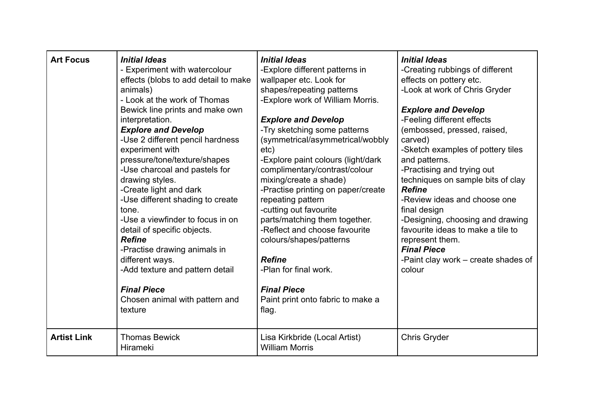| <b>Art Focus</b>   | <b>Initial Ideas</b><br>- Experiment with watercolour<br>effects (blobs to add detail to make<br>animals)<br>- Look at the work of Thomas<br>Bewick line prints and make own<br>interpretation.<br><b>Explore and Develop</b><br>-Use 2 different pencil hardness<br>experiment with<br>pressure/tone/texture/shapes<br>-Use charcoal and pastels for<br>drawing styles.<br>-Create light and dark<br>-Use different shading to create<br>tone.<br>-Use a viewfinder to focus in on<br>detail of specific objects.<br><b>Refine</b><br>-Practise drawing animals in<br>different ways.<br>-Add texture and pattern detail<br><b>Final Piece</b><br>Chosen animal with pattern and<br>texture | <b>Initial Ideas</b><br>-Explore different patterns in<br>wallpaper etc. Look for<br>shapes/repeating patterns<br>-Explore work of William Morris.<br><b>Explore and Develop</b><br>-Try sketching some patterns<br>(symmetrical/asymmetrical/wobbly<br>etc)<br>-Explore paint colours (light/dark<br>complimentary/contrast/colour<br>mixing/create a shade)<br>-Practise printing on paper/create<br>repeating pattern<br>-cutting out favourite<br>parts/matching them together.<br>-Reflect and choose favourite<br>colours/shapes/patterns<br><b>Refine</b><br>-Plan for final work.<br><b>Final Piece</b><br>Paint print onto fabric to make a<br>flag. | <b>Initial Ideas</b><br>-Creating rubbings of different<br>effects on pottery etc.<br>-Look at work of Chris Gryder<br><b>Explore and Develop</b><br>-Feeling different effects<br>(embossed, pressed, raised,<br>carved)<br>-Sketch examples of pottery tiles<br>and patterns.<br>-Practising and trying out<br>techniques on sample bits of clay<br><b>Refine</b><br>-Review ideas and choose one<br>final design<br>-Designing, choosing and drawing<br>favourite ideas to make a tile to<br>represent them.<br><b>Final Piece</b><br>-Paint clay work – create shades of<br>colour |
|--------------------|----------------------------------------------------------------------------------------------------------------------------------------------------------------------------------------------------------------------------------------------------------------------------------------------------------------------------------------------------------------------------------------------------------------------------------------------------------------------------------------------------------------------------------------------------------------------------------------------------------------------------------------------------------------------------------------------|---------------------------------------------------------------------------------------------------------------------------------------------------------------------------------------------------------------------------------------------------------------------------------------------------------------------------------------------------------------------------------------------------------------------------------------------------------------------------------------------------------------------------------------------------------------------------------------------------------------------------------------------------------------|----------------------------------------------------------------------------------------------------------------------------------------------------------------------------------------------------------------------------------------------------------------------------------------------------------------------------------------------------------------------------------------------------------------------------------------------------------------------------------------------------------------------------------------------------------------------------------------|
| <b>Artist Link</b> | <b>Thomas Bewick</b><br><b>Hirameki</b>                                                                                                                                                                                                                                                                                                                                                                                                                                                                                                                                                                                                                                                      | Lisa Kirkbride (Local Artist)<br><b>William Morris</b>                                                                                                                                                                                                                                                                                                                                                                                                                                                                                                                                                                                                        | <b>Chris Gryder</b>                                                                                                                                                                                                                                                                                                                                                                                                                                                                                                                                                                    |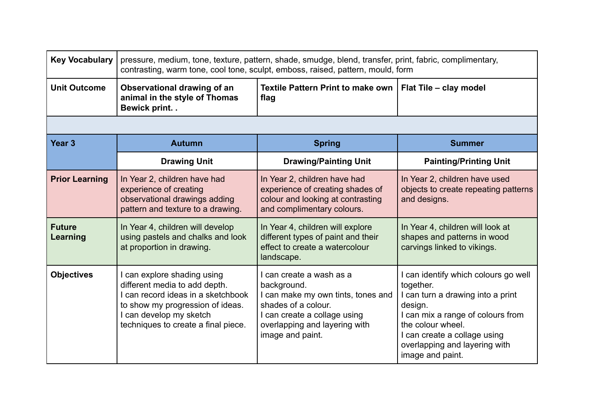| <b>Key Vocabulary</b>     | pressure, medium, tone, texture, pattern, shade, smudge, blend, transfer, print, fabric, complimentary,<br>contrasting, warm tone, cool tone, sculpt, emboss, raised, pattern, mould, form               |                                                                                                                                                                                           |                                                                                                                                                                                                                                              |
|---------------------------|----------------------------------------------------------------------------------------------------------------------------------------------------------------------------------------------------------|-------------------------------------------------------------------------------------------------------------------------------------------------------------------------------------------|----------------------------------------------------------------------------------------------------------------------------------------------------------------------------------------------------------------------------------------------|
| <b>Unit Outcome</b>       | Observational drawing of an<br>animal in the style of Thomas<br>Bewick print. .                                                                                                                          | <b>Textile Pattern Print to make own</b><br>flag                                                                                                                                          | Flat Tile - clay model                                                                                                                                                                                                                       |
|                           |                                                                                                                                                                                                          |                                                                                                                                                                                           |                                                                                                                                                                                                                                              |
| Year <sub>3</sub>         | <b>Autumn</b>                                                                                                                                                                                            | <b>Spring</b>                                                                                                                                                                             | <b>Summer</b>                                                                                                                                                                                                                                |
|                           | <b>Drawing Unit</b>                                                                                                                                                                                      | <b>Drawing/Painting Unit</b>                                                                                                                                                              | <b>Painting/Printing Unit</b>                                                                                                                                                                                                                |
| <b>Prior Learning</b>     | In Year 2, children have had<br>experience of creating<br>observational drawings adding<br>pattern and texture to a drawing.                                                                             | In Year 2, children have had<br>experience of creating shades of<br>colour and looking at contrasting<br>and complimentary colours.                                                       | In Year 2, children have used<br>objects to create repeating patterns<br>and designs.                                                                                                                                                        |
| <b>Future</b><br>Learning | In Year 4, children will develop<br>using pastels and chalks and look<br>at proportion in drawing.                                                                                                       | In Year 4, children will explore<br>different types of paint and their<br>effect to create a watercolour<br>landscape.                                                                    | In Year 4, children will look at<br>shapes and patterns in wood<br>carvings linked to vikings.                                                                                                                                               |
| <b>Objectives</b>         | I can explore shading using<br>different media to add depth.<br>I can record ideas in a sketchbook<br>to show my progression of ideas.<br>I can develop my sketch<br>techniques to create a final piece. | I can create a wash as a<br>background.<br>I can make my own tints, tones and<br>shades of a colour.<br>I can create a collage using<br>overlapping and layering with<br>image and paint. | can identify which colours go well<br>together.<br>I can turn a drawing into a print<br>design.<br>can mix a range of colours from<br>the colour wheel.<br>I can create a collage using<br>overlapping and layering with<br>image and paint. |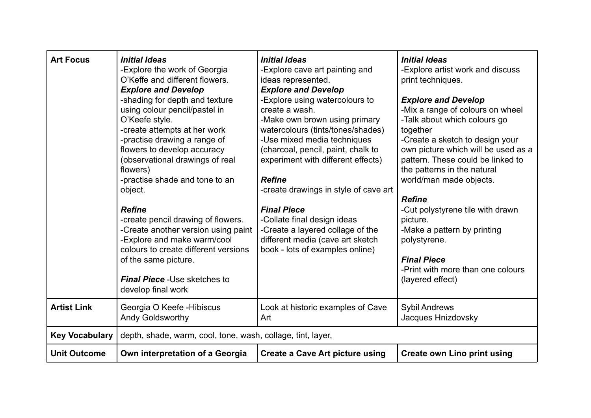| <b>Art Focus</b>      | <b>Initial Ideas</b><br>-Explore the work of Georgia<br>O'Keffe and different flowers.<br><b>Explore and Develop</b><br>-shading for depth and texture<br>using colour pencil/pastel in<br>O'Keefe style.<br>-create attempts at her work<br>-practise drawing a range of<br>flowers to develop accuracy<br>(observational drawings of real<br>flowers)<br>-practise shade and tone to an<br>object.<br><b>Refine</b><br>-create pencil drawing of flowers.<br>-Create another version using paint<br>-Explore and make warm/cool<br>colours to create different versions<br>of the same picture.<br><b>Final Piece - Use sketches to</b><br>develop final work | <b>Initial Ideas</b><br>-Explore cave art painting and<br>ideas represented.<br><b>Explore and Develop</b><br>-Explore using watercolours to<br>create a wash.<br>-Make own brown using primary<br>watercolours (tints/tones/shades)<br>-Use mixed media techniques<br>(charcoal, pencil, paint, chalk to<br>experiment with different effects)<br><b>Refine</b><br>-create drawings in style of cave art<br><b>Final Piece</b><br>-Collate final design ideas<br>-Create a layered collage of the<br>different media (cave art sketch<br>book - lots of examples online) | <b>Initial Ideas</b><br>-Explore artist work and discuss<br>print techniques.<br><b>Explore and Develop</b><br>-Mix a range of colours on wheel<br>-Talk about which colours go<br>together<br>-Create a sketch to design your<br>own picture which will be used as a<br>pattern. These could be linked to<br>the patterns in the natural<br>world/man made objects.<br><b>Refine</b><br>-Cut polystyrene tile with drawn<br>picture.<br>-Make a pattern by printing<br>polystyrene.<br><b>Final Piece</b><br>-Print with more than one colours<br>(layered effect) |
|-----------------------|-----------------------------------------------------------------------------------------------------------------------------------------------------------------------------------------------------------------------------------------------------------------------------------------------------------------------------------------------------------------------------------------------------------------------------------------------------------------------------------------------------------------------------------------------------------------------------------------------------------------------------------------------------------------|---------------------------------------------------------------------------------------------------------------------------------------------------------------------------------------------------------------------------------------------------------------------------------------------------------------------------------------------------------------------------------------------------------------------------------------------------------------------------------------------------------------------------------------------------------------------------|---------------------------------------------------------------------------------------------------------------------------------------------------------------------------------------------------------------------------------------------------------------------------------------------------------------------------------------------------------------------------------------------------------------------------------------------------------------------------------------------------------------------------------------------------------------------|
| <b>Artist Link</b>    | Georgia O Keefe - Hibiscus<br><b>Andy Goldsworthy</b>                                                                                                                                                                                                                                                                                                                                                                                                                                                                                                                                                                                                           | Look at historic examples of Cave<br>Art                                                                                                                                                                                                                                                                                                                                                                                                                                                                                                                                  | <b>Sybil Andrews</b><br>Jacques Hnizdovsky                                                                                                                                                                                                                                                                                                                                                                                                                                                                                                                          |
| <b>Key Vocabulary</b> | depth, shade, warm, cool, tone, wash, collage, tint, layer,                                                                                                                                                                                                                                                                                                                                                                                                                                                                                                                                                                                                     |                                                                                                                                                                                                                                                                                                                                                                                                                                                                                                                                                                           |                                                                                                                                                                                                                                                                                                                                                                                                                                                                                                                                                                     |
| <b>Unit Outcome</b>   | Own interpretation of a Georgia                                                                                                                                                                                                                                                                                                                                                                                                                                                                                                                                                                                                                                 | <b>Create a Cave Art picture using</b>                                                                                                                                                                                                                                                                                                                                                                                                                                                                                                                                    | <b>Create own Lino print using</b>                                                                                                                                                                                                                                                                                                                                                                                                                                                                                                                                  |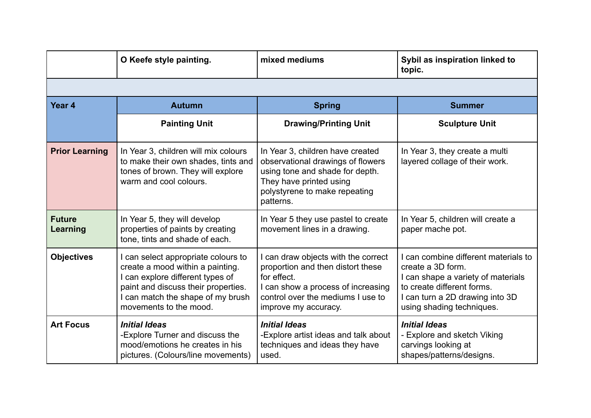|                           | O Keefe style painting.                                                                                                                                                                                           | mixed mediums                                                                                                                                                                              | Sybil as inspiration linked to<br>topic.                                                                                                                                                  |
|---------------------------|-------------------------------------------------------------------------------------------------------------------------------------------------------------------------------------------------------------------|--------------------------------------------------------------------------------------------------------------------------------------------------------------------------------------------|-------------------------------------------------------------------------------------------------------------------------------------------------------------------------------------------|
|                           |                                                                                                                                                                                                                   |                                                                                                                                                                                            |                                                                                                                                                                                           |
| Year <sub>4</sub>         | <b>Autumn</b>                                                                                                                                                                                                     | <b>Spring</b>                                                                                                                                                                              | <b>Summer</b>                                                                                                                                                                             |
|                           | <b>Painting Unit</b>                                                                                                                                                                                              | <b>Drawing/Printing Unit</b>                                                                                                                                                               | <b>Sculpture Unit</b>                                                                                                                                                                     |
| <b>Prior Learning</b>     | In Year 3, children will mix colours<br>to make their own shades, tints and<br>tones of brown. They will explore<br>warm and cool colours.                                                                        | In Year 3, children have created<br>observational drawings of flowers<br>using tone and shade for depth.<br>They have printed using<br>polystyrene to make repeating<br>patterns.          | In Year 3, they create a multi<br>layered collage of their work.                                                                                                                          |
| <b>Future</b><br>Learning | In Year 5, they will develop<br>properties of paints by creating<br>tone, tints and shade of each.                                                                                                                | In Year 5 they use pastel to create<br>movement lines in a drawing.                                                                                                                        | In Year 5, children will create a<br>paper mache pot.                                                                                                                                     |
| <b>Objectives</b>         | I can select appropriate colours to<br>create a mood within a painting.<br>I can explore different types of<br>paint and discuss their properties.<br>I can match the shape of my brush<br>movements to the mood. | I can draw objects with the correct<br>proportion and then distort these<br>for effect.<br>I can show a process of increasing<br>control over the mediums I use to<br>improve my accuracy. | can combine different materials to<br>create a 3D form.<br>can shape a variety of materials<br>to create different forms.<br>I can turn a 2D drawing into 3D<br>using shading techniques. |
| <b>Art Focus</b>          | <b>Initial Ideas</b><br>-Explore Turner and discuss the<br>mood/emotions he creates in his<br>pictures. (Colours/line movements)                                                                                  | <b>Initial Ideas</b><br>-Explore artist ideas and talk about<br>techniques and ideas they have<br>used.                                                                                    | <b>Initial Ideas</b><br>- Explore and sketch Viking<br>carvings looking at<br>shapes/patterns/designs.                                                                                    |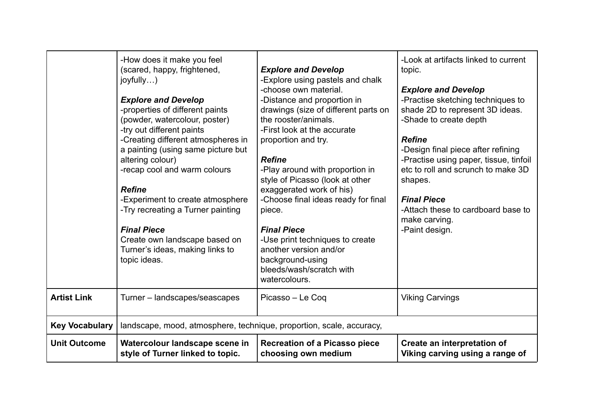|                       | -How does it make you feel<br>(scared, happy, frightened,<br>joyfully)<br><b>Explore and Develop</b><br>-properties of different paints<br>(powder, watercolour, poster)<br>-try out different paints<br>-Creating different atmospheres in<br>a painting (using same picture but<br>altering colour)<br>-recap cool and warm colours<br><b>Refine</b><br>-Experiment to create atmosphere<br>-Try recreating a Turner painting<br><b>Final Piece</b><br>Create own landscape based on<br>Turner's ideas, making links to<br>topic ideas. | <b>Explore and Develop</b><br>-Explore using pastels and chalk<br>-choose own material.<br>-Distance and proportion in<br>drawings (size of different parts on<br>the rooster/animals.<br>-First look at the accurate<br>proportion and try.<br><b>Refine</b><br>-Play around with proportion in<br>style of Picasso (look at other<br>exaggerated work of his)<br>-Choose final ideas ready for final<br>piece.<br><b>Final Piece</b><br>-Use print techniques to create<br>another version and/or<br>background-using<br>bleeds/wash/scratch with<br>watercolours. | -Look at artifacts linked to current<br>topic.<br><b>Explore and Develop</b><br>-Practise sketching techniques to<br>shade 2D to represent 3D ideas.<br>-Shade to create depth<br><b>Refine</b><br>-Design final piece after refining<br>-Practise using paper, tissue, tinfoil<br>etc to roll and scrunch to make 3D<br>shapes.<br><b>Final Piece</b><br>-Attach these to cardboard base to<br>make carving.<br>-Paint design. |
|-----------------------|-------------------------------------------------------------------------------------------------------------------------------------------------------------------------------------------------------------------------------------------------------------------------------------------------------------------------------------------------------------------------------------------------------------------------------------------------------------------------------------------------------------------------------------------|----------------------------------------------------------------------------------------------------------------------------------------------------------------------------------------------------------------------------------------------------------------------------------------------------------------------------------------------------------------------------------------------------------------------------------------------------------------------------------------------------------------------------------------------------------------------|---------------------------------------------------------------------------------------------------------------------------------------------------------------------------------------------------------------------------------------------------------------------------------------------------------------------------------------------------------------------------------------------------------------------------------|
| <b>Artist Link</b>    | Turner – landscapes/seascapes                                                                                                                                                                                                                                                                                                                                                                                                                                                                                                             | Picasso - Le Coq                                                                                                                                                                                                                                                                                                                                                                                                                                                                                                                                                     | <b>Viking Carvings</b>                                                                                                                                                                                                                                                                                                                                                                                                          |
| <b>Key Vocabulary</b> | landscape, mood, atmosphere, technique, proportion, scale, accuracy,                                                                                                                                                                                                                                                                                                                                                                                                                                                                      |                                                                                                                                                                                                                                                                                                                                                                                                                                                                                                                                                                      |                                                                                                                                                                                                                                                                                                                                                                                                                                 |
| <b>Unit Outcome</b>   | Watercolour landscape scene in<br>style of Turner linked to topic.                                                                                                                                                                                                                                                                                                                                                                                                                                                                        | <b>Recreation of a Picasso piece</b><br>choosing own medium                                                                                                                                                                                                                                                                                                                                                                                                                                                                                                          | Create an interpretation of<br>Viking carving using a range of                                                                                                                                                                                                                                                                                                                                                                  |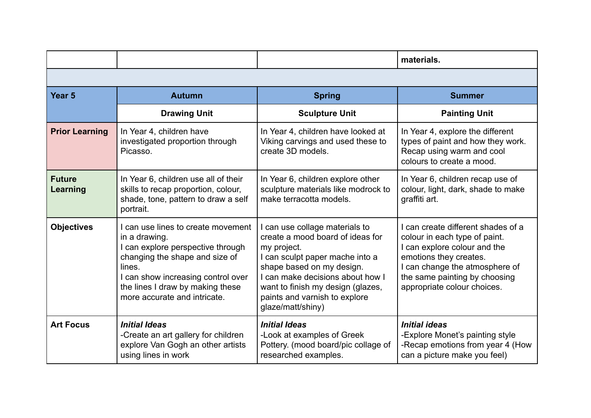|                           |                                                                                                                                                                                                                                              |                                                                                                                                                                                                                                                                                  | materials.                                                                                                                                                                                                                |
|---------------------------|----------------------------------------------------------------------------------------------------------------------------------------------------------------------------------------------------------------------------------------------|----------------------------------------------------------------------------------------------------------------------------------------------------------------------------------------------------------------------------------------------------------------------------------|---------------------------------------------------------------------------------------------------------------------------------------------------------------------------------------------------------------------------|
|                           |                                                                                                                                                                                                                                              |                                                                                                                                                                                                                                                                                  |                                                                                                                                                                                                                           |
| Year <sub>5</sub>         | <b>Autumn</b>                                                                                                                                                                                                                                | <b>Spring</b>                                                                                                                                                                                                                                                                    | <b>Summer</b>                                                                                                                                                                                                             |
|                           | <b>Drawing Unit</b>                                                                                                                                                                                                                          | <b>Sculpture Unit</b>                                                                                                                                                                                                                                                            | <b>Painting Unit</b>                                                                                                                                                                                                      |
| <b>Prior Learning</b>     | In Year 4, children have<br>investigated proportion through<br>Picasso.                                                                                                                                                                      | In Year 4, children have looked at<br>Viking carvings and used these to<br>create 3D models.                                                                                                                                                                                     | In Year 4, explore the different<br>types of paint and how they work.<br>Recap using warm and cool<br>colours to create a mood.                                                                                           |
| <b>Future</b><br>Learning | In Year 6, children use all of their<br>skills to recap proportion, colour,<br>shade, tone, pattern to draw a self<br>portrait.                                                                                                              | In Year 6, children explore other<br>sculpture materials like modrock to<br>make terracotta models.                                                                                                                                                                              | In Year 6, children recap use of<br>colour, light, dark, shade to make<br>graffiti art.                                                                                                                                   |
| <b>Objectives</b>         | can use lines to create movement<br>in a drawing.<br>I can explore perspective through<br>changing the shape and size of<br>lines.<br>I can show increasing control over<br>the lines I draw by making these<br>more accurate and intricate. | I can use collage materials to<br>create a mood board of ideas for<br>my project.<br>I can sculpt paper mache into a<br>shape based on my design.<br>I can make decisions about how I<br>want to finish my design (glazes,<br>paints and varnish to explore<br>glaze/matt/shiny) | can create different shades of a<br>colour in each type of paint.<br>can explore colour and the<br>emotions they creates.<br>can change the atmosphere of<br>the same painting by choosing<br>appropriate colour choices. |
| <b>Art Focus</b>          | <b>Initial Ideas</b><br>-Create an art gallery for children<br>explore Van Gogh an other artists<br>using lines in work                                                                                                                      | <b>Initial Ideas</b><br>-Look at examples of Greek<br>Pottery. (mood board/pic collage of<br>researched examples.                                                                                                                                                                | <b>Initial ideas</b><br>-Explore Monet's painting style<br>-Recap emotions from year 4 (How<br>can a picture make you feel)                                                                                               |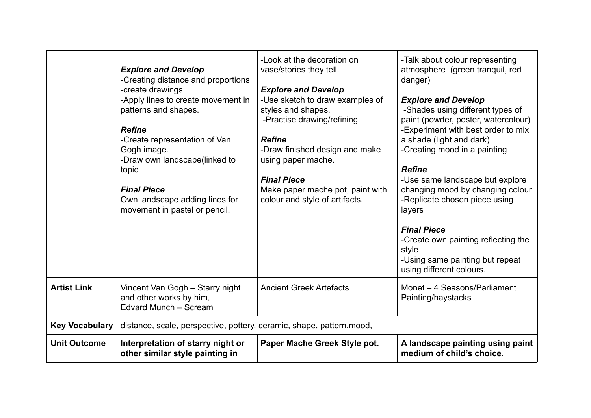|                       | <b>Explore and Develop</b><br>-Creating distance and proportions<br>-create drawings<br>-Apply lines to create movement in<br>patterns and shapes.<br><b>Refine</b><br>-Create representation of Van<br>Gogh image.<br>-Draw own landscape(linked to<br>topic<br><b>Final Piece</b><br>Own landscape adding lines for<br>movement in pastel or pencil. | -Look at the decoration on<br>vase/stories they tell.<br><b>Explore and Develop</b><br>-Use sketch to draw examples of<br>styles and shapes.<br>-Practise drawing/refining<br><b>Refine</b><br>-Draw finished design and make<br>using paper mache.<br><b>Final Piece</b><br>Make paper mache pot, paint with<br>colour and style of artifacts. | -Talk about colour representing<br>atmosphere (green tranquil, red<br>danger)<br><b>Explore and Develop</b><br>-Shades using different types of<br>paint (powder, poster, watercolour)<br>-Experiment with best order to mix<br>a shade (light and dark)<br>-Creating mood in a painting<br><b>Refine</b><br>-Use same landscape but explore<br>changing mood by changing colour<br>-Replicate chosen piece using<br>layers<br><b>Final Piece</b><br>-Create own painting reflecting the<br>style<br>-Using same painting but repeat<br>using different colours. |
|-----------------------|--------------------------------------------------------------------------------------------------------------------------------------------------------------------------------------------------------------------------------------------------------------------------------------------------------------------------------------------------------|-------------------------------------------------------------------------------------------------------------------------------------------------------------------------------------------------------------------------------------------------------------------------------------------------------------------------------------------------|------------------------------------------------------------------------------------------------------------------------------------------------------------------------------------------------------------------------------------------------------------------------------------------------------------------------------------------------------------------------------------------------------------------------------------------------------------------------------------------------------------------------------------------------------------------|
| <b>Artist Link</b>    | Vincent Van Gogh - Starry night<br>and other works by him,<br>Edvard Munch - Scream                                                                                                                                                                                                                                                                    | <b>Ancient Greek Artefacts</b>                                                                                                                                                                                                                                                                                                                  | Monet - 4 Seasons/Parliament<br>Painting/haystacks                                                                                                                                                                                                                                                                                                                                                                                                                                                                                                               |
| <b>Key Vocabulary</b> | distance, scale, perspective, pottery, ceramic, shape, pattern, mood,                                                                                                                                                                                                                                                                                  |                                                                                                                                                                                                                                                                                                                                                 |                                                                                                                                                                                                                                                                                                                                                                                                                                                                                                                                                                  |
| <b>Unit Outcome</b>   | Interpretation of starry night or<br>other similar style painting in                                                                                                                                                                                                                                                                                   | Paper Mache Greek Style pot.                                                                                                                                                                                                                                                                                                                    | A landscape painting using paint<br>medium of child's choice.                                                                                                                                                                                                                                                                                                                                                                                                                                                                                                    |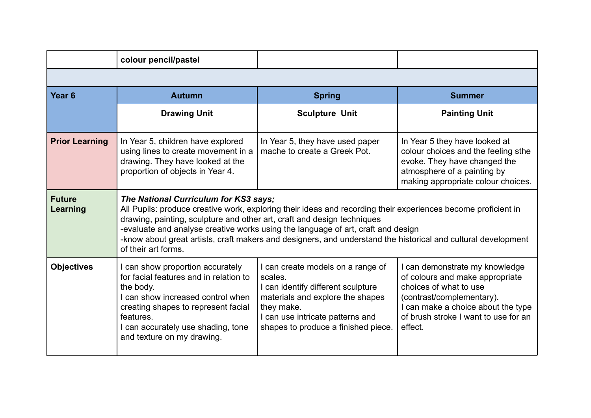|                           | colour pencil/pastel                                                                                                                                                                                                                                                                                                                                                                                                                                          |                                                                                                                                                                                                                 |                                                                                                                                                                                                                   |  |
|---------------------------|---------------------------------------------------------------------------------------------------------------------------------------------------------------------------------------------------------------------------------------------------------------------------------------------------------------------------------------------------------------------------------------------------------------------------------------------------------------|-----------------------------------------------------------------------------------------------------------------------------------------------------------------------------------------------------------------|-------------------------------------------------------------------------------------------------------------------------------------------------------------------------------------------------------------------|--|
|                           |                                                                                                                                                                                                                                                                                                                                                                                                                                                               |                                                                                                                                                                                                                 |                                                                                                                                                                                                                   |  |
| Year <sub>6</sub>         | <b>Autumn</b>                                                                                                                                                                                                                                                                                                                                                                                                                                                 | <b>Spring</b>                                                                                                                                                                                                   | <b>Summer</b>                                                                                                                                                                                                     |  |
|                           | <b>Drawing Unit</b>                                                                                                                                                                                                                                                                                                                                                                                                                                           | <b>Sculpture Unit</b>                                                                                                                                                                                           | <b>Painting Unit</b>                                                                                                                                                                                              |  |
| <b>Prior Learning</b>     | In Year 5, children have explored<br>using lines to create movement in a<br>drawing. They have looked at the<br>proportion of objects in Year 4.                                                                                                                                                                                                                                                                                                              | In Year 5, they have used paper<br>mache to create a Greek Pot.                                                                                                                                                 | In Year 5 they have looked at<br>colour choices and the feeling sthe<br>evoke. They have changed the<br>atmosphere of a painting by<br>making appropriate colour choices.                                         |  |
| <b>Future</b><br>Learning | The National Curriculum for KS3 says;<br>All Pupils: produce creative work, exploring their ideas and recording their experiences become proficient in<br>drawing, painting, sculpture and other art, craft and design techniques<br>-evaluate and analyse creative works using the language of art, craft and design<br>-know about great artists, craft makers and designers, and understand the historical and cultural development<br>of their art forms. |                                                                                                                                                                                                                 |                                                                                                                                                                                                                   |  |
| <b>Objectives</b>         | I can show proportion accurately<br>for facial features and in relation to<br>the body.<br>I can show increased control when<br>creating shapes to represent facial<br>features.<br>I can accurately use shading, tone<br>and texture on my drawing.                                                                                                                                                                                                          | I can create models on a range of<br>scales.<br>I can identify different sculpture<br>materials and explore the shapes<br>they make.<br>I can use intricate patterns and<br>shapes to produce a finished piece. | I can demonstrate my knowledge<br>of colours and make appropriate<br>choices of what to use<br>(contrast/complementary).<br>I can make a choice about the type<br>of brush stroke I want to use for an<br>effect. |  |